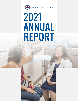# $(\pm)$ CENTRAL HEALTH **2021** 2021<br>ANNILAL ANNUAL REPORT

1 2021 ANNUAL REPORT OF THE SECOND AND A REPORT OF THE SECOND AND A REPORT OF THE SECOND AND A REPORT OF THE S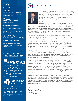### **VISION**

Central Texas is a model healthy community

### MISSION

By caring for those who need it most, Central Health improves the health of the community.

### VALUES

Central Health will achieve excellence through:

*Stewardship*: We maintain public trust through fiscal discipline and open transparent communication.

*Innovation:* We create solutions to improve health care access.

*Right by All:* By being open, antiracist, equity-minded, and respectful in discourse, we honor those around us and do right by all people.

*Collaboration:* We partner with others to improve the health of our community.

### CENTRAL HEALTH ENTERPRISE PARTNERS



CommUnityCare Health Centers is a separate but affiliated 501(c) (3) organization of Central Health that provides medical, dental, behavioral health and prescription services through Travis County's largest network of Federally Qualified Health Centers (FQHCs).



Founded in 2011, Sendero Health Plans is the local nonprofit, community-based health maintenance organization (HMO) of Central Health designed to serve the unique needs of Central Texas residents.



### CENTRAL HEALTH



The Fiscal Year 2021 Annual Report provides an account of our work, defined best by the first words in our mission statement: By caring for those who need it most. Central Health provides access to health care for people living in poverty in Travis County. And while the numbers of people served increased from the prior year, that's only part of the story.

Equally important, the types and levels of care we provided were expanded. Too numerous to name in a brief narrative, the expansion efforts included services in primary, specialty,

dental, mental and behavioral health, care management, care transition, enrollment in the Medical Access Program, and impactful campaigns in patient engagement. Our work in FY 2021 demonstrated that we can do more to strengthen the safety net health care system – and touch every aspect of the patient experience to improve the entire system of care.

If anything, and counterintuitively, this annual report of past work is about the future. Our progress in 2021 served as the starting point for the work currently under way in 2022 and being staged for future fiscal years.

For instance, in February 2022, the Central Health Board of Managers approved an equity-focused service delivery strategic plan (Health Care Equity Plan) that will direct our work to fill gaps in health care to eliminate health disparities among lowincome persons. The Health Care Equity Plan is based on a first-ever community health needs assessment of data on Travis County's low-income population.

Following this clear imperative and the perspectives gained from engagement with the diverse community of our patients, we usher in a new era where a person's identity or social vulnerability should not be an indicator of lifespan or life quality. This annual report is about a refined focus on where we are going next in the pursuit of health equity for those we serve.

As with past annual reports, a summary of our financial audit is included. Like the prior fiscal years, Central Health received a clean audit opinion in FY 2021 and maintained the Government Finance Officers Association award. The audit summary represents the annual year-end results and is backed-up by the monthly financial reports provided to the Central Health Board of Managers and public. Additionally, the annual financial results indicate a strong financial position; a position which will be essential to the long-term sustainability of the health care provided today and the expansions and improvements leading into the next several years.

What we do is not without the work of countless others. We are grateful to our patients, our Board of Managers, community leaders, and advocates. We embrace good stewardship, patient engagement, and collaboration with provider partners. As part of this community, we hope you are excited about the near horizon vision of making health equity a measured reality for the people we serve, enabling the healthiest lives possible.

With Gratitude, Mike Geoslyn

Mike Geeslin President & CEO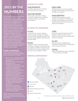# 2021 BY THE NUMBERS

As the hospital district serving Travis County, Central Health creates access to care and coordinates health care services so residents with low income have the opportunity to get well and stay healthy. Central Health's mission is to improve the health of the community by caring for those who need it most. To better fulfill this mission, in 2021 Central Health developed new primary care locations in underserved areas; expanded its network of specialty care providers; improved eligibility and health coverage enrollment services; and supported numerous Covid-19 response efforts. Central Health continues to help the community rebound from the pandemic, providing funding for more patients at more locations year-over-year.

### COVID-19 RESPONSE

In March 2020, Central Health and its partners began directing their operational focus to the outbreak of COVID-19.

- Resources were dedicated throughout the enterprise organizations in the following areas:
- Participating in the local Emergency Operations Center.
- Establishing new testing and vaccination locations and supporting ongoing clinical operations.
- Creating and implementing an extensive communications strategy, including key messaging and distribution of PPE to populations disproportionately impacted.
- Implementing a transition to remote work for the appropriate staff.
- Requesting funding from the Federal Emergency Management Agency (FEMA) and other possible sources for reimbursement of allowable expenditures.
- Launching a Vaccine Equity Enhancement Payment Program to increase vaccination rates in communities with high poverty and COVID-19 infection rates.

Through these and other efforts with partners, Travis County experienced one of the lowest COVID-19 death rates in the state of Texas.

### ACCESS TO CARE

### OUR PATIENTS

147,186 people served in FY2021 – a 6% year-over-year increase.

### OUR NETWORK

204 provider locations, including community health centers, hospitals, specialists, dentists, and urgent care locations.

### ACCESS TO COVERAGE

### 47,641

uninsured Travis County residents received health coverage for hospital, primary, dental, specialty and other care through Central Health's Medical Access Program (MAP).

### 60,661

residents received coverage through MAP Basic, a program with primary care, prescription and other essential services covered for low-income residents who earn too much to qualify for MAP.

### SERVICE EXPANSION\*

### OUR CARE

499,861 primary care visits provided through Central Health's broad network of health care partners.

### OUR GROWTH

In 2020 Central Health's provider network increased by 7%. Sixteen new providers were added to the network, including behavioral health, dental and urgent care providers.

### 2,081

previously uninsured people received premium assistance from Central Health to enroll in Sendero Health Plans insurance coverage.

### 81,395

calls were taken by eligibility and enrollment specialists at Central Health's new in-house Call Center.

### 23,816

online MAP applications were submitted – a 45% increase over 2020.



3 2021 ANNUAL REPORT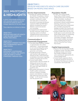# 2021 MILESTONES & HIGHLIGHTS

In 2018, Central Health worked closely with community members to identify and refine the healthcare district's strategic objectives for the years ahead.

These objectives are defined as follows:

OBJECTIVE 1 DEVELOP AND EXECUTE HEALTH CARE DELIVERY BASED ON PEOPLE AND SPACE.

OBJECTIVE 2 IMPLEMENT A PATIENT-FOCUSED AND COORDINATED HEALTH CARE SYSTEM.

OBJECTIVE 3 IMPLEMENT A SUSTAINABLE FINANCIAL MODEL FOR HEALTH CARE DELIVERY & SYSTEM STRATEGIES THROUGH 2024.

### **OBJECTIVE 1 DEVELOP AND EXECUTE HEALTH CARE DELIVERY BASED ON PEOPLE AND SPACE.**

### Service Improvements

- Despite the ongoing challenges of the COVID-19 pandemic, Central Health's primary care clinics and providers continued to adapt and make gains in measures of preventive screenings and disease control for MAP and MAP Basic patients including foot exams, diabetes control and alcohol use counseling.
- CommUnityCare implemented the EPIC electronic health record reporting system to facilitate multidimensional improvements in patient care and communication.

### Communication & Community Engagement

- Two paid media initiatives resulted in approximately 18.3 million impressions - connecting people to care and providing life-saving information about COVID-19 protection and testing.
- Through grassroots outreach, staff reached 5,381 people and teamed up with 1,349 businesses to distribute information regarding COVID-19 testing and vaccines.
- Central Health mailed approximately 130,376 COVID-19 testing and vaccine fact cards to MAP member households in ZIP codes with high COVID-19 positivity rates.
- 884 people participated in Central Health's public involvement process to advance strategic projects and initiatives as well as help shape the fiscal year 2022 budget – an 87 percent increase over the previous year.

### Population Health

- In 2021, the Central Health Equity Policy (CHEP) Council continued the work of its Pandemic Equity Committee, resulting in recommended policy changes pertaining to disaster preparedness, planning, and recovery. Once community input was incorporated, the committee presented the findings to Austin City Council and Travis County Commissioner Court.
- Sendero Health Plans was the only health plan to work extensively with Austin Public Health in contributing data and research to develop vaccination strategies. Specifically, this included multiple vaccination clinics including the Boo the Flu and the Fiesta del Pavo/Turkey Fest events.

### Capital Improvements

- Plans for the Hornsby Bend Health & Wellness Center, Del Valle Health & Wellness Center, and Colony Park Health & Wellness Center were unanimously approved by the Central Health board.
- Central Health supported efforts to relocate and launch services at the Colony Park Resource Center in coordination with Austin ISD.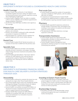### OBJECTIVE 2 **IMPLEMENT A PATIENT-FOCUSED & COORDINATED HEALTH CARE SYSTEM.**

### Health Coverage

- Sendero Health Plans achieved a 4-star National Committee Quality Assurance rating, the highest score of clinical performance and customer experience among Texas Marketplace health plans.
- Central Health's Eligibility Team was able to complete 2,787 in-person eligibility and enrollment appointments despite pandemic restrictions.
- 23,196 first-time MAP Basic enrollees were signed up for coverage.

### Primary Care

- Central Health added MAP Basic coverage to all of its primary care contracts.
- Primary care providers continued to offer telehealth encounters in response to COVID-19.
- Planning began for a nutrition services initiative for patients diagnosed with chronic kidney disease.

### Dental Care

• Central Health funded 39,167 dental encounters, an increase of more than 15,000 from the previous year.

### Specialty Care

- Central Health added new providers and expanded specialty services in dentures, oral surgery, oncology, endocrinology (hormone treatment) and podiatry (feet and leg care).
- Central Health operationalized a "fast track" referral pathway for MAP patients to be referred directly to appropriate surgeries following an emergency department visit, reducing the need for additional doctor visits.

### Post-acute Care

- Central Health increased the number of recuperative care beds available for MAP patients, with the ability to add more as needed.
- In response to increased demand, Central Health contracted for additional beds at a skilled nursing facility for MAP patients requiring extended hospital recovery.

### **Pharmacy**

- Central Health expanded its pharmacy network to include People's Community Clinic and Integral Care, resulting in more options for patients and decreased costs for Central Health.
- The planning for MAP Basic pharmacy coverage expansion continued.

### Transportation Assistance

- Central Health signed new agreements with transportation providers to assist patients who are wheelchair bound or on stretchers.
- Central Health's Medical Management team expanded its rideshare program to include high-need CommUnityCare patients.

# **IMPLEMENT A SUSTAINABLE FINANCIAL MODEL**

## **Stewardship**

**THROUGH 2024.**

OBJECTIVE 3

• Central Health continued to maintain the lowest tax rate among the six major urban Texas hospital districts.

**FOR HEALTH CARE DELIVERY & SYSTEM STRATEGIES** 

- The Central Health finance team was awarded the GFOA Distinguished Budget Presentation Award, the highest form of recognition in government budgeting.
- Central Health's net position increased \$70 million; an 18 percent increase compared to the previous year in order to support long-term financial goals.
- Sendero Health Plans earned over \$30 million in subsidies for enrolling 2,081 high-risk, formerly uninsured individuals in an innovative insurance coverage program.

### Investing in Eastern Travis County

• The Central Health Board of Managers approved project budgets for health centers in three target areas in eastern Travis County: Hornsby Bend, Del Valle and Colony Park and work continued to develop clinical services on these properties.

### Brackenridge Campus

• Demolition activities on the Brackenridge campus continued throughout the year in anticipation of further development.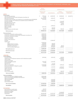### TRAVIS COUNTY HEALTHCARE DISTRICT dba CENTRAL HEALTH STATEMENTS OF REVENUES, EXPENSES, AND CHANGES IN NET POSITION SEPTEMBER 30, 2021

|                                                                                                                                                                   | Primary<br>Government              |                      | <b>Component Units</b>     |                                        |  |
|-------------------------------------------------------------------------------------------------------------------------------------------------------------------|------------------------------------|----------------------|----------------------------|----------------------------------------|--|
|                                                                                                                                                                   | <b>Business-type</b><br>Activities | CommUnityCare        | Sendero<br>(Dec. 31, 2020) | <b>Community Care</b><br>Collaborative |  |
| <b>ASSETS</b>                                                                                                                                                     |                                    |                      |                            |                                        |  |
| <b>Current Assets:</b><br>Cash and cash equivalents                                                                                                               | \$<br>1,095,662                    | \$<br>22,836,307     | \$<br>23,085,825           | \$<br>26,463,741                       |  |
| Cash restricted for Local Provider Participation Fund (Note 16)                                                                                                   | 25,169                             |                      |                            |                                        |  |
| Short-term investments                                                                                                                                            | 281,945,360<br>1,615,518           | 2,933,175            | 2,697,306                  |                                        |  |
| Ad valorem taxes receivable, net of allowance for uncollectible taxes of \$2,868,818<br>Accounts receivable, net of allowance for doubtful amounts of \$9,801,361 |                                    | 16,715,232           |                            |                                        |  |
| Accounts receivable                                                                                                                                               |                                    |                      | 1,764,690                  |                                        |  |
| Risk adjustments receivable                                                                                                                                       |                                    |                      | 6,763,371                  |                                        |  |
| Premium receivable, net<br>Reinsurance recoverables                                                                                                               |                                    |                      | 21,387<br>102,174          |                                        |  |
| Grants receivable                                                                                                                                                 |                                    | 2,498,613            |                            |                                        |  |
| Other receivables                                                                                                                                                 | 5,557,764                          |                      |                            |                                        |  |
| Inventory<br>Prepaid expenses and other assets                                                                                                                    | 586,239                            | 636,243<br>907,284   | 482,336                    | 102,840                                |  |
| <b>Total current assets</b>                                                                                                                                       | 290,825,712                        | 46,526,854           | 34,917,089                 | 26,566,581                             |  |
|                                                                                                                                                                   |                                    |                      |                            |                                        |  |
| <b>Noncurrent Assets:</b><br>Investments restricted for capital acquisition                                                                                       | 25,097,937                         |                      |                            |                                        |  |
| Investments restricted for Local Provider Participation Fund (Note 16)                                                                                            | 36,825,910                         |                      |                            |                                        |  |
| Investments restricted for facilities                                                                                                                             | 56,055,994                         |                      |                            |                                        |  |
| Long-term receivables<br>Investment in Sendero                                                                                                                    | 4.000.000<br>71,000,000            |                      |                            |                                        |  |
| Sendero surplus debenture                                                                                                                                         | 37,083,000                         |                      |                            |                                        |  |
| Goodwill                                                                                                                                                          |                                    | 17,849,487           |                            |                                        |  |
| Capital assets:                                                                                                                                                   | 26,302,223                         |                      |                            |                                        |  |
| Land<br>Capital projects in progress                                                                                                                              | 9,259,026                          | 281.833              |                            |                                        |  |
| Buildings and improvements                                                                                                                                        | 56.495.972                         | 848,095              |                            |                                        |  |
| Equipment and furniture                                                                                                                                           | 17,692,503                         | 1,092,446            | 38,215                     |                                        |  |
| Less accumulated depreciation                                                                                                                                     | (24,664,339)                       | (934, 865)           | (38, 215)                  |                                        |  |
| Total capital assets, net                                                                                                                                         | 85,085,385                         | 1,287,509            |                            |                                        |  |
| <b>Total noncurrent assets</b>                                                                                                                                    | 315,148,226                        | 19,136,996           |                            |                                        |  |
| <b>Total assets</b>                                                                                                                                               | 605,973,938                        | 65,663,850           | 34,917,089                 | 26,566,581                             |  |
| <b>LIABILITIES</b>                                                                                                                                                |                                    |                      |                            |                                        |  |
| <b>Current liabilities:</b>                                                                                                                                       |                                    |                      |                            |                                        |  |
| Accounts payable                                                                                                                                                  | 3,875,836                          | 2,621,593            | 849,852                    |                                        |  |
| Unpaid losses, loss adjustment expenses and risk adjustment payable                                                                                               |                                    |                      | 11,685,847<br>451,090      |                                        |  |
| Claims payable<br>Premium tax payable                                                                                                                             |                                    |                      | 457,951                    |                                        |  |
| Salaries and benefits payable                                                                                                                                     | 1,535,702                          | 6,124,589            |                            |                                        |  |
| Accrued interest                                                                                                                                                  | 57,345                             |                      |                            |                                        |  |
| Deferred rent<br>Other accrued liabilities                                                                                                                        | 10,784,883                         | 177,369<br>1,948,854 | 2,905,622                  | 4,868,668                              |  |
| Bonds and certificates of obligations payable                                                                                                                     | 4,350,000                          |                      |                            |                                        |  |
| Unearned revenue                                                                                                                                                  |                                    | 1,125,992            | 2,570,277                  | 7,455,418                              |  |
| Surplus debenture                                                                                                                                                 |                                    | 4,754,037            | 37,083,000                 |                                        |  |
| Seller note payable<br>Note payable                                                                                                                               |                                    | 1,140,000            |                            |                                        |  |
| Due to Central Health                                                                                                                                             |                                    | 2,767,382            | 880,353                    | 119,351                                |  |
| <b>Total current liabilities</b>                                                                                                                                  | 20,603,766                         | 20,659,816           | 56,883,992                 | 12,443,437                             |  |
| <b>Noncurrent liabilities:</b>                                                                                                                                    |                                    |                      |                            |                                        |  |
| Bonds and certificates of obligations payable                                                                                                                     | 80,264,606                         |                      |                            |                                        |  |
| Due to Local Provider Participation Fund (Note 16)                                                                                                                | 36,851,079                         |                      |                            |                                        |  |
| Other accrued liabilities<br>Seller note payable                                                                                                                  | 323,477                            | 2,210,298            |                            |                                        |  |
| Note payable                                                                                                                                                      |                                    | 3,040,000            |                            |                                        |  |
| Due to Central Health                                                                                                                                             |                                    | 4,000,000            |                            |                                        |  |
| <b>Total noncurrent liabilities</b>                                                                                                                               | 117,439,162                        | 9,250,298            |                            |                                        |  |
| <b>Total liabilities</b>                                                                                                                                          | 138,042,928                        | 29,910,114           | 56,883,992                 | 12,443,437                             |  |
|                                                                                                                                                                   |                                    |                      |                            |                                        |  |
| <b>NET POSITION</b>                                                                                                                                               | 470,779                            |                      |                            |                                        |  |
| Net investment in capital assets<br>Restricted for capital acquisition                                                                                            | 25,097,937                         |                      |                            |                                        |  |
| Restricted for facilities                                                                                                                                         | 56,055,994                         |                      |                            |                                        |  |
| Restricted for HMO                                                                                                                                                |                                    |                      | 71,000,000                 |                                        |  |
| Unrestricted                                                                                                                                                      | 386,306,300                        | 35,753,736           | (92,966,903)               | 14,123,144                             |  |
| Total net position                                                                                                                                                | 467,931,010                        | 35,753,736           | (21,966,903)               | 14,123,144                             |  |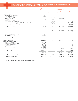### TRAVIS COUNTY HEALTHCARE DISTRICT dba CENTRAL HEALTH STATEMENTS OF REVENUES, EXPENSES, AND CHANGES IN NET POSITION YEAR ENDED SEPTEMBER 30, 2021

|                                                                | Primary<br>Government |                                           | <b>Component Units</b> |                            |                                        |
|----------------------------------------------------------------|-----------------------|-------------------------------------------|------------------------|----------------------------|----------------------------------------|
|                                                                |                       | <b>Business-type</b><br><b>Activities</b> | CommUnityCare          | Sendero<br>(Dec. 31, 2020) | <b>Community Care</b><br>Collaborative |
| <b>Operating revenues:</b>                                     | \$                    | 10.996.054                                | \$                     | $\mathfrak{L}$             | \$                                     |
| Downtown Campus lease revenue                                  |                       | 961,380                                   |                        |                            |                                        |
| Ground sublease revenue<br>Net patient service revenue         |                       |                                           | 101,193,492            |                            |                                        |
| Premium revenue, net                                           |                       |                                           |                        | 88,010,390                 |                                        |
| Grant revenue                                                  |                       | 699,269                                   | 17,425,311             |                            |                                        |
| Foundation grant revenue                                       |                       |                                           | 1,060,153              |                            |                                        |
| Revenue received from Central Health                           |                       |                                           | 17,722,960             |                            |                                        |
| Revenue received from Delivery System Reform Incentive Payment |                       |                                           | 10,123,906             |                            | 59,363,558                             |
| Revenue received from Seton Affiliation                        |                       |                                           | 1,766,490              |                            |                                        |
| Personnel services received from an affiliate                  |                       |                                           |                        |                            | 261,294                                |
| <b>Total operating revenues</b>                                |                       | 12,656,703                                | 149,292,312            | 88,010,390                 | 59,624,852                             |
|                                                                |                       |                                           |                        |                            |                                        |
| <b>Operating expenses:</b>                                     |                       |                                           | 43,714,569             | 79,251,339                 | 60,682,982                             |
| Health care delivery                                           |                       | 115,859,007                               |                        |                            | 1,150,139                              |
| Administration<br>Salaries and benefits                        |                       | 4,986,916                                 | 97,789,042             | 4,444,501                  |                                        |
| Other purchased goods and services                             |                       | 3,862,308                                 |                        | 11,828,778                 |                                        |
|                                                                |                       | 4,972,430                                 | 329,060                |                            |                                        |
| Depreciation and amortization                                  |                       |                                           |                        |                            |                                        |
| <b>Total operating expenses</b>                                |                       | 129,680,661                               | 141,832,671            | 95,524,618                 | 61,833,121                             |
| Operating income (loss)                                        |                       | (117, 023, 958)                           | 7,459,641              | (7,514,228)                | (2,208,269)                            |
| Nonoperating revenues (expenses):                              |                       |                                           |                        |                            |                                        |
| Ad valorem tax revenue                                         |                       | 238,919,148                               |                        |                            |                                        |
| Tax assessment and collection expense                          |                       | (1,804,635)                               |                        |                            |                                        |
| Tobacco settlement revenue, net                                |                       | 3,872,274                                 |                        |                            |                                        |
| Investment income                                              |                       | 1.145.379<br>(1,230,931)                  |                        |                            |                                        |
| Interest expense                                               |                       | (52, 160, 957)                            |                        |                            |                                        |
| Loss on disposal of capital assets<br>Other revenue (expense)  |                       | (1,710,623)                               |                        | 494,052                    | 15,285                                 |
| Total nonoperating revenues, net                               |                       | 187,029,655                               |                        | 494,052                    | 15,285                                 |
| Change in net position                                         |                       | 70,005,697                                | 7,459,641              | (7,020,176)                | (2, 192, 984)                          |
| Total net position - beginning of year                         |                       | 397,925,313                               | 28,294,095             | (14, 946, 727)             | 16,316,128                             |
| Total net position - end of year                               |                       | 467,931,010                               | 35,753,736             | (21, 966, 903)             | 14,123,144                             |

*The notes to the financial statements are an integral part of these statements.*